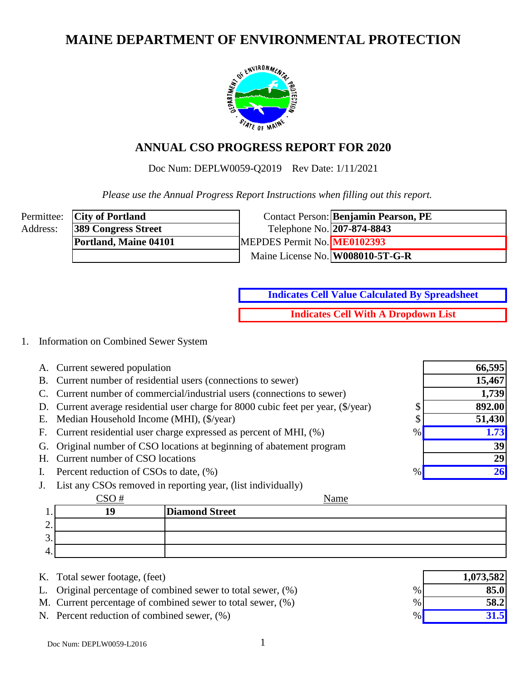# **MAINE DEPARTMENT OF ENVIRONMENTAL PROTECTION**



# **ANNUAL CSO PROGRESS REPORT FOR 2020**

Doc Num: DEPLW0059-Q2019 Rev Date: 1/11/2021

 *Please use the Annual Progress Report Instructions when filling out this report.*

|          | Permittee: <b>City of Portland</b> |                                  | Contact Person: Benjamin Pearson, PE |
|----------|------------------------------------|----------------------------------|--------------------------------------|
| Address: | <b>389 Congress Street</b>         | Telephone No. 207-874-8843       |                                      |
|          | Portland, Maine 04101              | MEPDES Permit No. ME0102393      |                                      |
|          |                                    | Maine License No. W008010-5T-G-R |                                      |

**Indicates Cell With A Dropdown List Indicates Cell Value Calculated By Spreadsheet**

### 1. Information on Combined Sewer System

- A. Current sewered population
- B. Current number of residential users (connections to sewer)
- C. Current number of commercial/industrial users (connections to sewer)
- D. Current average residential user charge for 8000 cubic feet per year,  $(\frac{f}{g})$  (\$/year) \$
- E. Median Household Income (MHI),  $(\frac{5}{\sqrt{2}})$  \$
- F. Current residential user charge expressed as percent of MHI,  $(\%)$  %
- G. Original number of CSO locations at beginning of abatement program
- H. Current number of CSO locations
- I. Percent reduction of CSOs to date,  $(\% )$
- J. List any CSOs removed in reporting year, (list individually)

|          | $\sim$ $\sim$ $\sim$ | Name                  |
|----------|----------------------|-----------------------|
| . .      | 19                   | <b>Diamond Street</b> |
| <u>.</u> |                      |                       |
| ◠<br>◡.  |                      |                       |
| 4.       |                      |                       |

- K. Total sewer footage, (feet)
- L. Original percentage of combined sewer to total sewer,  $(\%)$
- M. Current percentage of combined sewer to total sewer,  $(\%)$
- N. Percent reduction of combined sewer,  $(\%)$

|      | 1,073,582 |
|------|-----------|
| $\%$ | 85.0      |
| $\%$ | 58.2      |
| $\%$ | 31.5      |

**66,595**

**15,467 1,739**

**892.00 51,430**

> **39 29**

**26**

**1.73**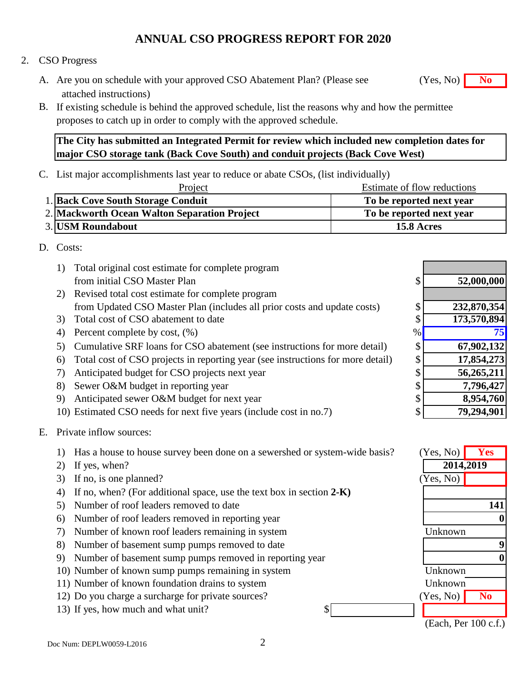### 2. CSO Progress

- A. Are you on schedule with your approved CSO Abatement Plan? (Please see **No** (Yes, No) **No** attached instructions)
- B. If existing schedule is behind the approved schedule, list the reasons why and how the permittee proposes to catch up in order to comply with the approved schedule.

**The City has submitted an Integrated Permit for review which included new completion dates for major CSO storage tank (Back Cove South) and conduit projects (Back Cove West)**

C. List major accomplishments last year to reduce or abate CSOs, (list individually)

| Project                                      | Estimate of flow reductions |
|----------------------------------------------|-----------------------------|
| 1. Back Cove South Storage Conduit           | To be reported next year    |
| 2. Mackworth Ocean Walton Separation Project | To be reported next year    |
| <b>3. USM Roundabout</b>                     | 15.8 Acres                  |

### D. Costs:

| 1) | Total original cost estimate for complete program                               |              |             |
|----|---------------------------------------------------------------------------------|--------------|-------------|
|    | from initial CSO Master Plan                                                    | $\mathbb{S}$ | 52,000,000  |
| 2) | Revised total cost estimate for complete program                                |              |             |
|    | from Updated CSO Master Plan (includes all prior costs and update costs)        | S            | 232,870,354 |
| 3) | Total cost of CSO abatement to date                                             | \$           | 173,570,894 |
| 4) | Percent complete by cost, $(\%)$                                                | $\%$         |             |
| 5) | Cumulative SRF loans for CSO abatement (see instructions for more detail)       | \$           | 67,902,132  |
| 6) | Total cost of CSO projects in reporting year (see instructions for more detail) | S            | 17,854,273  |
| 7) | Anticipated budget for CSO projects next year                                   |              | 56,265,211  |
| 8) | Sewer O&M budget in reporting year                                              |              | 7,796,427   |
| 9) | Anticipated sewer O&M budget for next year                                      | Φ            | 8,954,760   |
|    | 10) Estimated CSO needs for next five years (include cost in no.7)              | \$           | 79,294,901  |

E. Private inflow sources:

1) Has a house to house survey been done on a sewershed or system-wide basis?

- 2) If yes, when?
- 3) If no, is one planned?
- 4) If no, when? (For additional space, use the text box in section **2-K)**
- 5) Number of roof leaders removed to date
- 6) Number of roof leaders removed in reporting year
- 7) Number of known roof leaders remaining in system
- 8) Number of basement sump pumps removed to date
- 9) Number of basement sump pumps removed in reporting year
- 10) Number of known sump pumps remaining in system
- 11) Number of known foundation drains to system
- 12) Do you charge a surcharge for private sources?
- 13) If yes, how much and what unit?

| (Yes, No)      | <b>Yes</b>     |
|----------------|----------------|
| 2014,2019      |                |
| (Yes, No)      |                |
|                |                |
|                | 141            |
|                |                |
| Unknown        |                |
|                |                |
|                |                |
| <b>Unknown</b> |                |
| Unknown        |                |
| (Yes, No)      | N <sub>0</sub> |
|                |                |

(Each, Per 100 c.f.)

(Yes, No)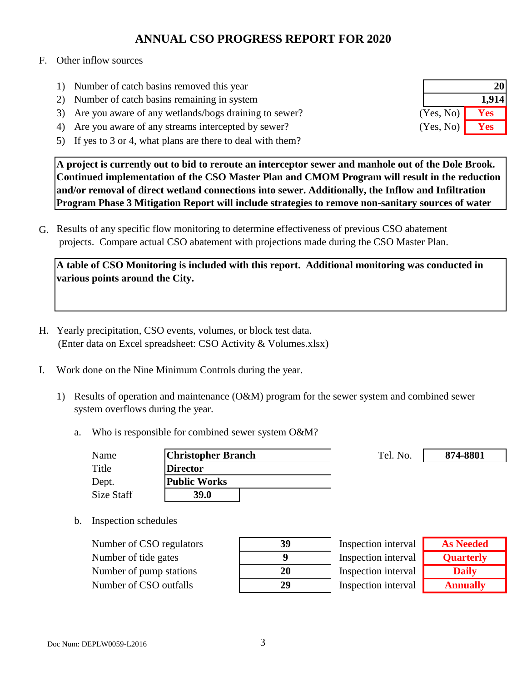#### F. Other inflow sources

- 1) Number of catch basins removed this year
- 2) Number of catch basins remaining in system
- 3) Are you aware of any wetlands/bogs draining to sewer?
- 4) Are you aware of any streams intercepted by sewer?
- 5) If yes to 3 or 4, what plans are there to deal with them?

**A project is currently out to bid to reroute an interceptor sewer and manhole out of the Dole Brook. Continued implementation of the CSO Master Plan and CMOM Program will result in the reduction and/or removal of direct wetland connections into sewer. Additionally, the Inflow and Infiltration Program Phase 3 Mitigation Report will include strategies to remove non-sanitary sources of water** 

G. Results of any specific flow monitoring to determine effectiveness of previous CSO abatement projects. Compare actual CSO abatement with projections made during the CSO Master Plan.

**A table of CSO Monitoring is included with this report. Additional monitoring was conducted in various points around the City.**

- H. Yearly precipitation, CSO events, volumes, or block test data. (Enter data on Excel spreadsheet: CSO Activity & Volumes.xlsx)
- I. Work done on the Nine Minimum Controls during the year.
	- 1) Results of operation and maintenance (O&M) program for the sewer system and combined sewer system overflows during the year.
		- a. Who is responsible for combined sewer system O&M?

| Name       | <b>Christopher Branch</b> | Tel. No. |
|------------|---------------------------|----------|
| Title      | <b>Director</b>           |          |
| Dept.      | Public Works              |          |
| Size Staff | 39.0                      |          |

b. Inspection schedules

Number of CSO regulators **39** Number of tide gates **9** Number of pump stations Number of CSO outfalls **29**

| 39 |
|----|
| 9  |
| 20 |
| 29 |

Inspection interval Inspection interval Inspection interval Inspection interval

| <b>As Needed</b> |
|------------------|
| <b>Quarterly</b> |
| <b>Daily</b>     |
| <b>Annually</b>  |

**874-8801**

|           | 21    |
|-----------|-------|
|           | 1,914 |
| (Yes, No) | Yes   |
| (Yes, No) | Yes   |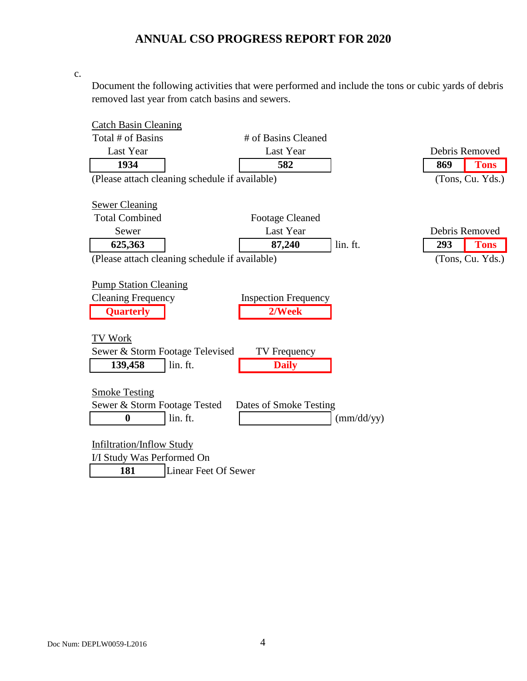c.

Document the following activities that were performed and include the tons or cubic yards of debris removed last year from catch basins and sewers.

| <b>Catch Basin Cleaning</b>                    |                             |            |                    |  |
|------------------------------------------------|-----------------------------|------------|--------------------|--|
| Total # of Basins                              | # of Basins Cleaned         |            |                    |  |
| Last Year                                      | Last Year                   |            | Debris Removed     |  |
| 1934                                           | 582                         |            | 869<br><b>Tons</b> |  |
| (Please attach cleaning schedule if available) |                             |            | (Tons, Cu. Yds.)   |  |
|                                                |                             |            |                    |  |
| <b>Sewer Cleaning</b>                          |                             |            |                    |  |
| <b>Total Combined</b>                          | <b>Footage Cleaned</b>      |            |                    |  |
| Sewer                                          | Last Year                   |            | Debris Removed     |  |
| 625,363                                        | 87,240                      | lin. ft.   | <b>Tons</b><br>293 |  |
| (Please attach cleaning schedule if available) |                             |            | (Tons, Cu. Yds.)   |  |
|                                                |                             |            |                    |  |
| <b>Pump Station Cleaning</b>                   |                             |            |                    |  |
| <b>Cleaning Frequency</b>                      | <b>Inspection Frequency</b> |            |                    |  |
| <b>Quarterly</b>                               | 2/Week                      |            |                    |  |
|                                                |                             |            |                    |  |
| <b>TV Work</b>                                 |                             |            |                    |  |
| Sewer & Storm Footage Televised                | TV Frequency                |            |                    |  |
| lin. ft.<br>139,458                            | <b>Daily</b>                |            |                    |  |
|                                                |                             |            |                    |  |
| <b>Smoke Testing</b>                           |                             |            |                    |  |
| Sewer & Storm Footage Tested                   | Dates of Smoke Testing      |            |                    |  |
| lin. ft.<br>$\boldsymbol{0}$                   |                             | (mm/dd/yy) |                    |  |
|                                                |                             |            |                    |  |
| Infiltration/Inflow Study                      |                             |            |                    |  |
| I/I Study Was Performed On                     |                             |            |                    |  |
| 181<br><b>Linear Feet Of Sewer</b>             |                             |            |                    |  |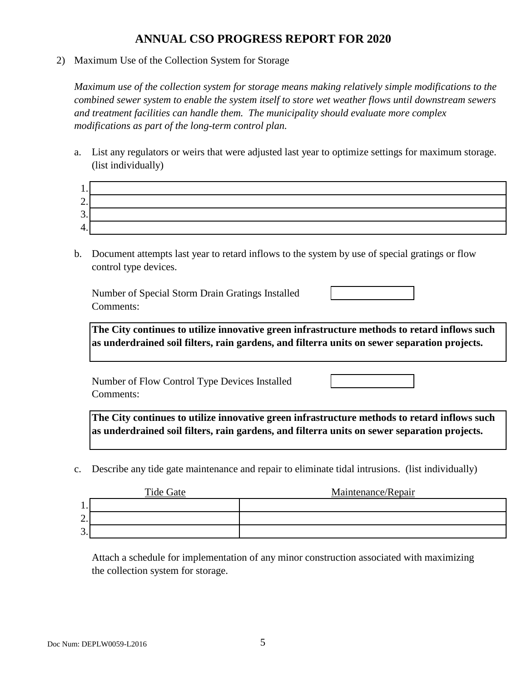2) Maximum Use of the Collection System for Storage

*Maximum use of the collection system for storage means making relatively simple modifications to the combined sewer system to enable the system itself to store wet weather flows until downstream sewers and treatment facilities can handle them. The municipality should evaluate more complex modifications as part of the long-term control plan.*

a. List any regulators or weirs that were adjusted last year to optimize settings for maximum storage. (list individually)

| . .                            |  |
|--------------------------------|--|
| $\overline{\phantom{0}}$<br>۷. |  |
| ⌒<br>J.                        |  |
| . .                            |  |

b. Document attempts last year to retard inflows to the system by use of special gratings or flow control type devices.

Number of Special Storm Drain Gratings Installed Comments:

**The City continues to utilize innovative green infrastructure methods to retard inflows such as underdrained soil filters, rain gardens, and filterra units on sewer separation projects.**

Number of Flow Control Type Devices Installed Comments:

**The City continues to utilize innovative green infrastructure methods to retard inflows such as underdrained soil filters, rain gardens, and filterra units on sewer separation projects.**

c. Describe any tide gate maintenance and repair to eliminate tidal intrusions. (list individually)

|                      | Tide Gate | Maintenance/Repair |
|----------------------|-----------|--------------------|
| .                    |           |                    |
| ⌒<br>∠.              |           |                    |
| ⌒<br>$\mathfrak{I}.$ |           |                    |

Attach a schedule for implementation of any minor construction associated with maximizing the collection system for storage.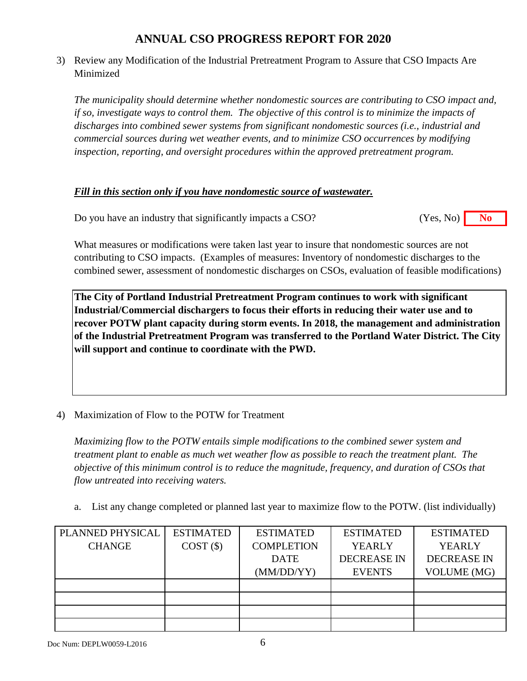3) Review any Modification of the Industrial Pretreatment Program to Assure that CSO Impacts Are Minimized

*The municipality should determine whether nondomestic sources are contributing to CSO impact and, if so, investigate ways to control them. The objective of this control is to minimize the impacts of discharges into combined sewer systems from significant nondomestic sources (i.e., industrial and commercial sources during wet weather events, and to minimize CSO occurrences by modifying inspection, reporting, and oversight procedures within the approved pretreatment program.*

### *Fill in this section only if you have nondomestic source of wastewater.*

Do you have an industry that significantly impacts a CSO? **No** (Yes, No) **No** (Yes, No)

What measures or modifications were taken last year to insure that nondomestic sources are not contributing to CSO impacts. (Examples of measures: Inventory of nondomestic discharges to the combined sewer, assessment of nondomestic discharges on CSOs, evaluation of feasible modifications)

**The City of Portland Industrial Pretreatment Program continues to work with significant Industrial/Commercial dischargers to focus their efforts in reducing their water use and to recover POTW plant capacity during storm events. In 2018, the management and administration of the Industrial Pretreatment Program was transferred to the Portland Water District. The City will support and continue to coordinate with the PWD.**

4) Maximization of Flow to the POTW for Treatment

*Maximizing flow to the POTW entails simple modifications to the combined sewer system and treatment plant to enable as much wet weather flow as possible to reach the treatment plant. The objective of this minimum control is to reduce the magnitude, frequency, and duration of CSOs that flow untreated into receiving waters.*

a. List any change completed or planned last year to maximize flow to the POTW. (list individually)

| PLANNED PHYSICAL | <b>ESTIMATED</b> | <b>ESTIMATED</b>  | <b>ESTIMATED</b>   | <b>ESTIMATED</b>   |
|------------------|------------------|-------------------|--------------------|--------------------|
| <b>CHANGE</b>    | COST(S)          | <b>COMPLETION</b> | <b>YEARLY</b>      | <b>YEARLY</b>      |
|                  |                  | <b>DATE</b>       | <b>DECREASE IN</b> | <b>DECREASE IN</b> |
|                  |                  | (MM/DD/YY)        | <b>EVENTS</b>      | <b>VOLUME</b> (MG) |
|                  |                  |                   |                    |                    |
|                  |                  |                   |                    |                    |
|                  |                  |                   |                    |                    |
|                  |                  |                   |                    |                    |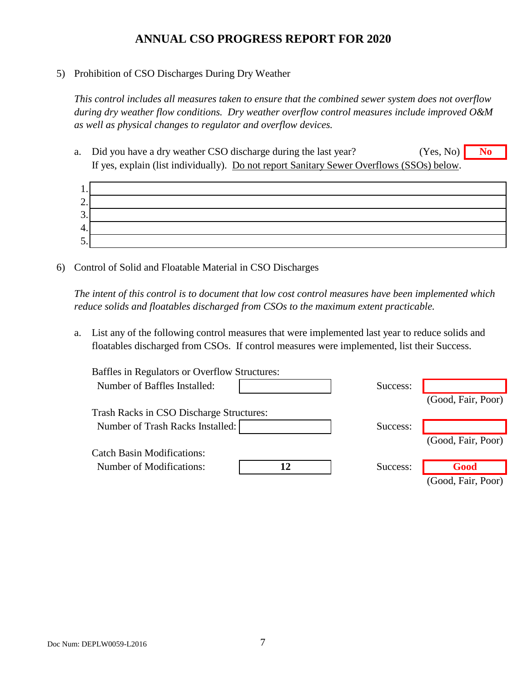#### 5) Prohibition of CSO Discharges During Dry Weather

*This control includes all measures taken to ensure that the combined sewer system does not overflow during dry weather flow conditions. Dry weather overflow control measures include improved O&M as well as physical changes to regulator and overflow devices.*

a. Did you have a dry weather CSO discharge during the last year? **No** (Yes, No) **No** If yes, explain (list individually). Do not report Sanitary Sewer Overflows (SSOs) below. (Yes, No)



6) Control of Solid and Floatable Material in CSO Discharges

*The intent of this control is to document that low cost control measures have been implemented which reduce solids and floatables discharged from CSOs to the maximum extent practicable.*

a. List any of the following control measures that were implemented last year to reduce solids and floatables discharged from CSOs. If control measures were implemented, list their Success.

| Baffles in Regulators or Overflow Structures: |          |                    |
|-----------------------------------------------|----------|--------------------|
| Number of Baffles Installed:                  | Success: |                    |
|                                               |          | (Good, Fair, Poor) |
| Trash Racks in CSO Discharge Structures:      |          |                    |
| Number of Trash Racks Installed:              | Success: |                    |
|                                               |          | (Good, Fair, Poor) |
| <b>Catch Basin Modifications:</b>             |          |                    |
| Number of Modifications:                      | Success: | Good               |
|                                               |          | (Good, Fair, Poor) |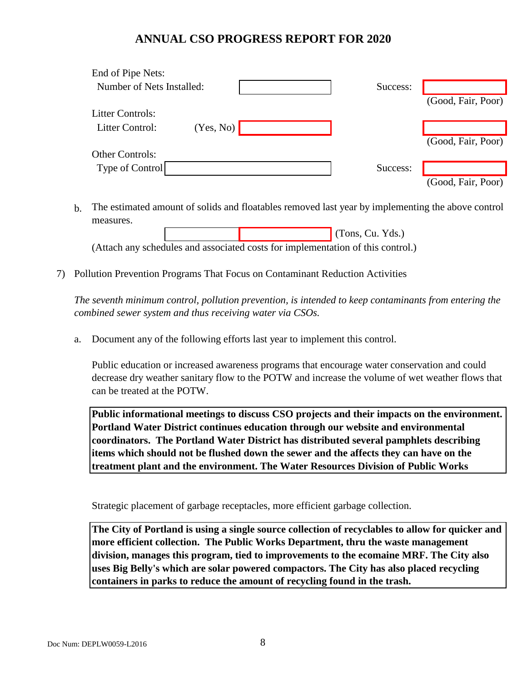| End of Pipe Nets:         |           |          |                    |
|---------------------------|-----------|----------|--------------------|
| Number of Nets Installed: |           | Success: |                    |
|                           |           |          | (Good, Fair, Poor) |
| <b>Litter Controls:</b>   |           |          |                    |
| Litter Control:           | (Yes, No) |          |                    |
|                           |           |          | (Good, Fair, Poor) |
| <b>Other Controls:</b>    |           |          |                    |
| Type of Control           |           | Success: |                    |
|                           |           |          | (Good, Fair, Poor) |

b. The estimated amount of solids and floatables removed last year by implementing the above control measures.

 (Tons, Cu. Yds.) (Attach any schedules and associated costs for implementation of this control.)

7) Pollution Prevention Programs That Focus on Contaminant Reduction Activities

*The seventh minimum control, pollution prevention, is intended to keep contaminants from entering the combined sewer system and thus receiving water via CSOs.*

a. Document any of the following efforts last year to implement this control.

Public education or increased awareness programs that encourage water conservation and could decrease dry weather sanitary flow to the POTW and increase the volume of wet weather flows that can be treated at the POTW.

**Public informational meetings to discuss CSO projects and their impacts on the environment. Portland Water District continues education through our website and environmental coordinators. The Portland Water District has distributed several pamphlets describing items which should not be flushed down the sewer and the affects they can have on the treatment plant and the environment. The Water Resources Division of Public Works** 

Strategic placement of garbage receptacles, more efficient garbage collection.

**The City of Portland is using a single source collection of recyclables to allow for quicker and more efficient collection. The Public Works Department, thru the waste management division, manages this program, tied to improvements to the ecomaine MRF. The City also uses Big Belly's which are solar powered compactors. The City has also placed recycling containers in parks to reduce the amount of recycling found in the trash.**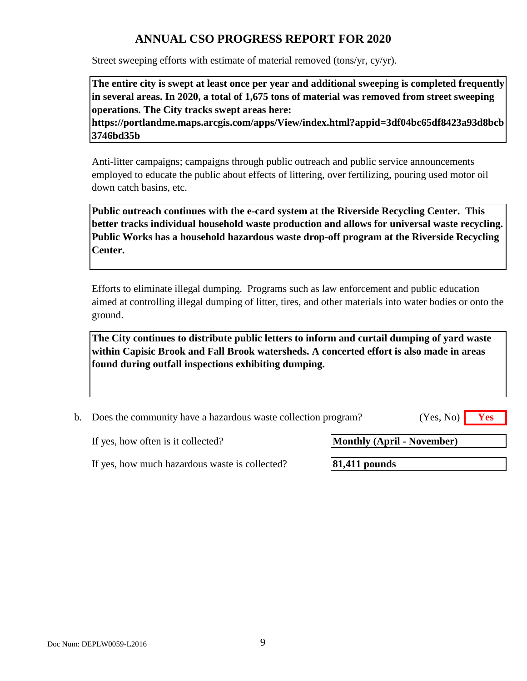Street sweeping efforts with estimate of material removed (tons/yr, cy/yr).

**The entire city is swept at least once per year and additional sweeping is completed frequently in several areas. In 2020, a total of 1,675 tons of material was removed from street sweeping operations. The City tracks swept areas here:** 

**https://portlandme.maps.arcgis.com/apps/View/index.html?appid=3df04bc65df8423a93d8bcb 3746bd35b** 

Anti-litter campaigns; campaigns through public outreach and public service announcements employed to educate the public about effects of littering, over fertilizing, pouring used motor oil down catch basins, etc.

**Public outreach continues with the e-card system at the Riverside Recycling Center. This better tracks individual household waste production and allows for universal waste recycling. Public Works has a household hazardous waste drop-off program at the Riverside Recycling Center.**

Efforts to eliminate illegal dumping. Programs such as law enforcement and public education aimed at controlling illegal dumping of litter, tires, and other materials into water bodies or onto the ground.

**The City continues to distribute public letters to inform and curtail dumping of yard waste within Capisic Brook and Fall Brook watersheds. A concerted effort is also made in areas found during outfall inspections exhibiting dumping.** 

| b. Does the community have a hazardous waste collection program? | $(Yes, No)$ Yes |  |
|------------------------------------------------------------------|-----------------|--|

If yes, how often is it collected?

**Monthly (April - November)**

If yes, how much hazardous waste is collected?

**81,411 pounds**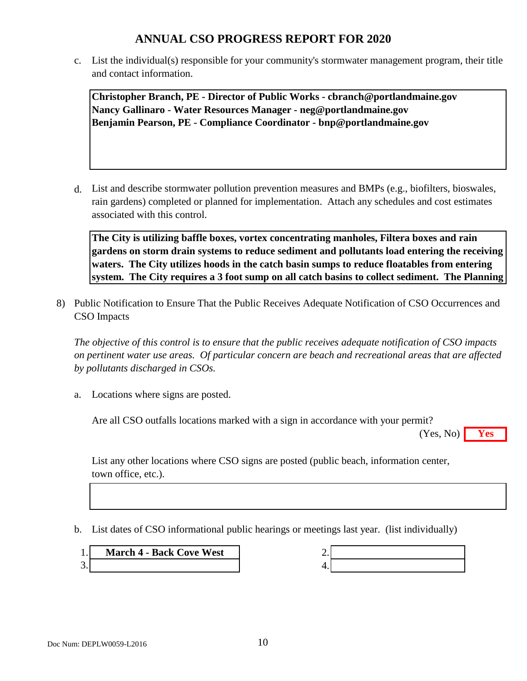c. List the individual(s) responsible for your community's stormwater management program, their title and contact information.

**Christopher Branch, PE - Director of Public Works - cbranch@portlandmaine.gov Nancy Gallinaro - Water Resources Manager - neg@portlandmaine.gov Benjamin Pearson, PE - Compliance Coordinator - bnp@portlandmaine.gov**

d. List and describe stormwater pollution prevention measures and BMPs (e.g., biofilters, bioswales, rain gardens) completed or planned for implementation. Attach any schedules and cost estimates associated with this control.

**The City is utilizing baffle boxes, vortex concentrating manholes, Filtera boxes and rain gardens on storm drain systems to reduce sediment and pollutants load entering the receiving waters. The City utilizes hoods in the catch basin sumps to reduce floatables from entering system. The City requires a 3 foot sump on all catch basins to collect sediment. The Planning** 

8) Public Notification to Ensure That the Public Receives Adequate Notification of CSO Occurrences and CSO Impacts

*The objective of this control is to ensure that the public receives adequate notification of CSO impacts on pertinent water use areas. Of particular concern are beach and recreational areas that are affected by pollutants discharged in CSOs.*

a. Locations where signs are posted.

Are all CSO outfalls locations marked with a sign in accordance with your permit?

**Yes** (Yes, No)

List any other locations where CSO signs are posted (public beach, information center, town office, etc.).

b. List dates of CSO informational public hearings or meetings last year. (list individually)

**1. March 4 - Back Cove West** 2.  $3.$  4.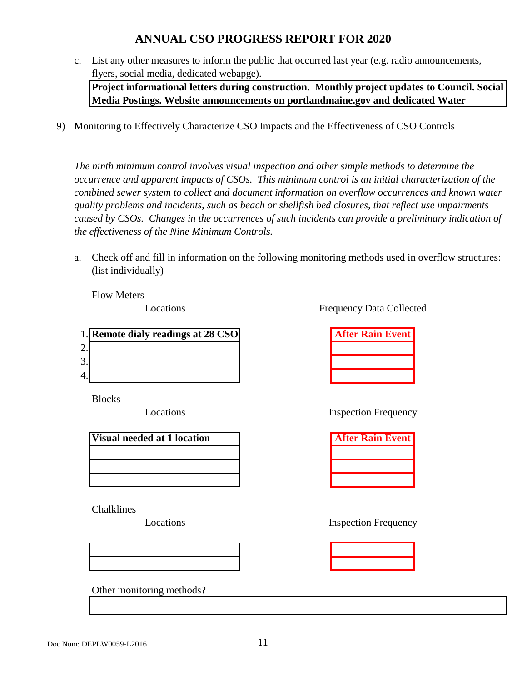c. List any other measures to inform the public that occurred last year (e.g. radio announcements, flyers, social media, dedicated webapge).

**Project informational letters during construction. Monthly project updates to Council. Social Media Postings. Website announcements on portlandmaine.gov and dedicated Water** 

9) Monitoring to Effectively Characterize CSO Impacts and the Effectiveness of CSO Controls

*The ninth minimum control involves visual inspection and other simple methods to determine the occurrence and apparent impacts of CSOs. This minimum control is an initial characterization of the combined sewer system to collect and document information on overflow occurrences and known water quality problems and incidents, such as beach or shellfish bed closures, that reflect use impairments caused by CSOs. Changes in the occurrences of such incidents can provide a preliminary indication of the effectiveness of the Nine Minimum Controls.*

a. Check off and fill in information on the following monitoring methods used in overflow structures: (list individually)

Flow Meters

Locations

|                    | 1. Remote dialy readings at 28 CSO | <b>After Rain Event</b> |
|--------------------|------------------------------------|-------------------------|
| ⌒                  |                                    |                         |
| 2<br>$\mathcal{L}$ |                                    |                         |
| 4.                 |                                    |                         |

Blocks

Locations

| Visual needed at 1 location |  |  |
|-----------------------------|--|--|
|                             |  |  |
|                             |  |  |
|                             |  |  |

Chalklines

Locations



Other monitoring methods?

Frequency Data Collected

| <b>After Rain Event</b> |  |  |
|-------------------------|--|--|
|                         |  |  |
|                         |  |  |
|                         |  |  |

Inspection Frequency

| <b>After Rain Event</b> |  |  |
|-------------------------|--|--|
|                         |  |  |
|                         |  |  |
|                         |  |  |

Inspection Frequency

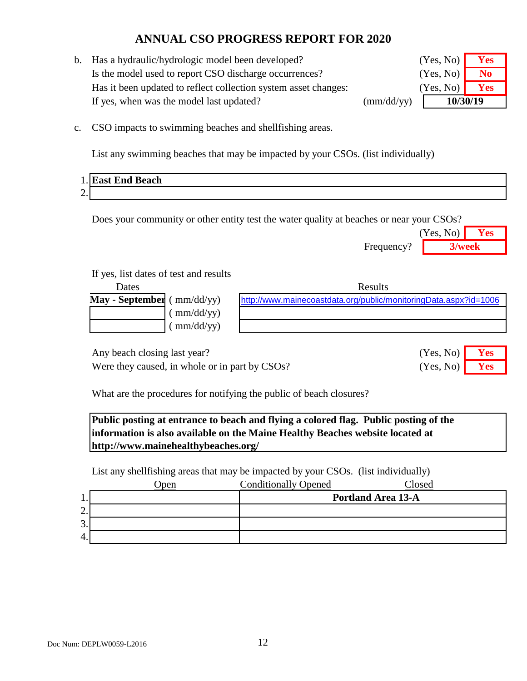b. Has a hydraulic/hydrologic model been developed? Is the model used to report CSO discharge occurrences? **No** Has it been updated to reflect collection system asset changes: If yes, when was the model last updated? (mm/dd/yy)

| (Yes, No) | Yes |  |
|-----------|-----|--|
| (Yes, No) | No  |  |
| (Yes, No) | Yes |  |
| 10/30/19  |     |  |

c. CSO impacts to swimming beaches and shellfishing areas.

List any swimming beaches that may be impacted by your CSOs. (list individually)

|                | 1. East End Beach |
|----------------|-------------------|
| $\Omega$<br>∠. |                   |

Does your community or other entity test the water quality at beaches or near your CSOs?

|            | (Yes, No) | Yes |
|------------|-----------|-----|
| Frequency? | 3/week    |     |

(Yes, No) (Yes, No)

### If yes, list dates of test and results

| Dates                           | <b>Results</b>                                                   |
|---------------------------------|------------------------------------------------------------------|
| May - September ( $mm/dd/yy$ )  | http://www.mainecoastdata.org/public/monitoringData.aspx?id=1006 |
| $\text{mm}/\text{dd}/\text{yy}$ |                                                                  |
| (mm/dd/yy)                      |                                                                  |
|                                 |                                                                  |

Any beach closing last year? **Yes** No. 2014

Were they caused, in whole or in part by CSOs? (Yes, No) **Yes** 

What are the procedures for notifying the public of beach closures?

**Public posting at entrance to beach and flying a colored flag. Public posting of the information is also available on the Maine Healthy Beaches website located at http://www.mainehealthybeaches.org/** 

List any shellfishing areas that may be impacted by your CSOs. (list individually)

|         | 'pen | <b>Conditionally Opened</b> | Closed                    |
|---------|------|-----------------------------|---------------------------|
| π.      |      |                             | <b>Portland Area 13-A</b> |
| ◠<br>٠. |      |                             |                           |
| 3.      |      |                             |                           |
| 4.      |      |                             |                           |